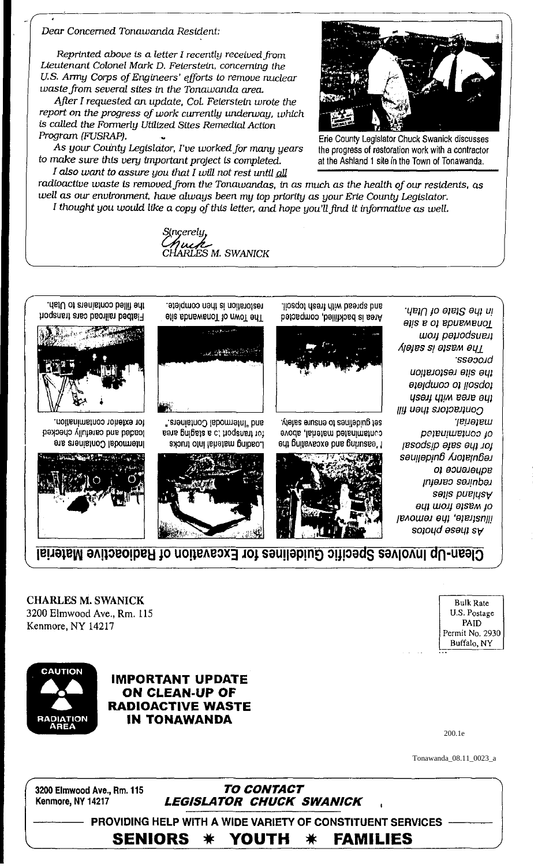**PROVIDING HELP WITH A WIDE VARIETY OF CONSTITUENT SERVICES SENIORS** YOUTH ☀ **FAMILIES** ☀

3200 Elmwood Ave., Rm. 115 Kenmore, NY 14217

TO CONTACT **LEGISLATOR CHUCK SWANICK**  Tonawanda\_08.11\_0023\_a

200.1e



**IMPORTANT UPDATE ON CLEAN-UP OF RADIOACTIVE WASTE IN TONAWANDA** 

Bulk Rate U.S. Postage PAID Permit No. 2930 Buffalo, NY

**CHARLES M. SWANICK** 3200 Elmwood Ave., Rm. 115 Kenmore, NY 14217



Clean-Up Involves Specific Guidelines for Excavation of Radioactive Material



for exterior contamination. bashed and carefully checked **Intermodal Containers are** 



Ine filled containers to Utah. Fiaded raiso baoilist bedist

Program (FUSRAP).





























18 分解物的

estoration is then complete.

ES M. SWANICK

radioactive waste is removed from the Tonawandas, in as much as the health of our residents, as

well as our environment, have always been my top priority as your Erie County Legislator. I thought you would like a copy of this letter, and hope you'll find it informative as well.



Alelias enuano of zenilebiug fea evods lahetam betamatad



pagduloo of liosdof the area with fresh Contractors then fill material. pejeujurejuos jo psodsip ages eyp Joy səujjəpin6 Alotalngəl от вопетель requires careful setis bnahasA of waste from the

> lilustrate, the removal sotong esent sA

in the State of Utah.

Fonawanda to a site won papodsuen

the site restoration

*ssəcoid* 

*Nejes si ətsem əul* 

liosqof dasti diiw basiqa bns. Area is backfilled, compacted



the progress of restoration work with a contractor at the Ashland 1 site in the Town of Tonawanda.

Dear Concerned Tonawanda Resident:

Reprinted above is a letter I recently received from Lieutenant Colonel Mark D. Feierstein, concerning the U.S. Army Corps of Engineers' efforts to remove nuclear

After I requested an update, Col. Felerstein wrote the report on the progress of work currently underway, which

As your County Legislator, I've worked for many years

I also want to assure you that I will not rest until all

waste from several sites in the Tonawanda area.

is called the Formerly Utilized Sites Remedial Action

to make sure this very important project is completed.